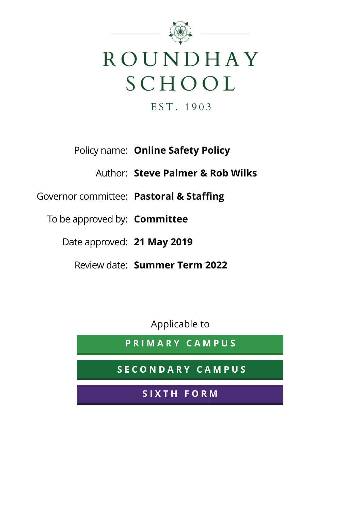

EST. 1903

### Policy name: **Online Safety Policy**

Author: **Steve Palmer & Rob Wilks**

### Governor committee: **Pastoral & Staffing**

To be approved by: **Committee**

Date approved: **21 May 2019**

Review date: **Summer Term 2022**

Applicable to

PRIMARY CAMPUS

SECONDARY CAMPUS

SIXTH FORM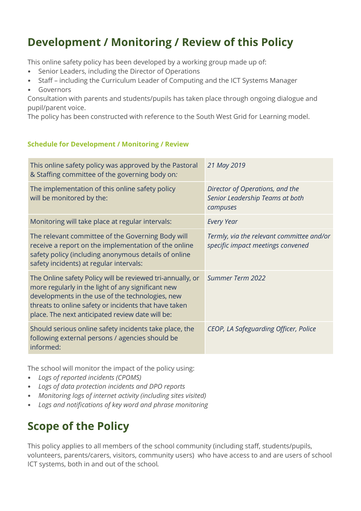## **Development / Monitoring / Review of this Policy**

This online safety policy has been developed by a working group made up of:

- Senior Leaders, including the Director of Operations
- Staff including the Curriculum Leader of Computing and the ICT Systems Manager
- Governors

Consultation with parents and students/pupils has taken place through ongoing dialogue and pupil/parent voice.

The policy has been constructed with reference to the South West Grid for Learning model.

#### **Schedule for Development / Monitoring / Review**

| This online safety policy was approved by the Pastoral<br>& Staffing committee of the governing body on:                                                                                                                                                                          | 21 May 2019                                                                    |
|-----------------------------------------------------------------------------------------------------------------------------------------------------------------------------------------------------------------------------------------------------------------------------------|--------------------------------------------------------------------------------|
| The implementation of this online safety policy<br>will be monitored by the:                                                                                                                                                                                                      | Director of Operations, and the<br>Senior Leadership Teams at both<br>campuses |
| Monitoring will take place at regular intervals:                                                                                                                                                                                                                                  | <b>Every Year</b>                                                              |
| The relevant committee of the Governing Body will<br>receive a report on the implementation of the online<br>safety policy (including anonymous details of online<br>safety incidents) at regular intervals:                                                                      | Termly, via the relevant committee and/or<br>specific impact meetings convened |
| The Online safety Policy will be reviewed tri-annually, or<br>more regularly in the light of any significant new<br>developments in the use of the technologies, new<br>threats to online safety or incidents that have taken<br>place. The next anticipated review date will be: | Summer Term 2022                                                               |
| Should serious online safety incidents take place, the<br>following external persons / agencies should be<br>informed:                                                                                                                                                            | CEOP, LA Safeguarding Officer, Police                                          |

The school will monitor the impact of the policy using:

- *Logs of reported incidents (CPOMS)*
- *Logs of data protection incidents and DPO reports*
- *Monitoring logs of internet activity (including sites visited)*
- *Logs and notifications of key word and phrase monitoring*

# **Scope of the Policy**

This policy applies to all members of the school community (including staff, students/pupils, volunteers, parents/carers, visitors, community users) who have access to and are users of school ICT systems, both in and out of the school*.*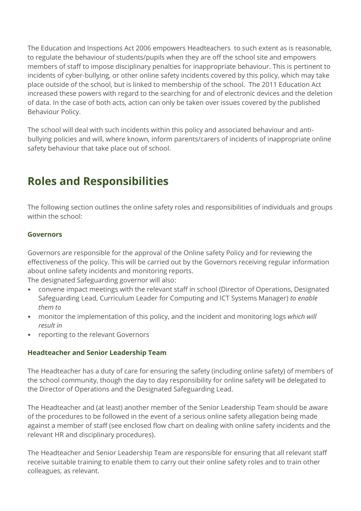The Education and Inspections Act 2006 empowers Headteachers to such extent as is reasonable, to regulate the behaviour of students/pupils when they are off the school site and empowers members of staff to impose disciplinary penalties for inappropriate behaviour. This is pertinent to incidents of cyber-bullying, or other online safety incidents covered by this policy, which may take place outside of the school, but is linked to membership of the school. The 2011 Education Act increased these powers with regard to the searching for and of electronic devices and the deletion of data. In the case of both acts, action can only be taken over issues covered by the published Behaviour Policy.

The school will deal with such incidents within this policy and associated behaviour and antibullying policies and will, where known, inform parents/carers of incidents of inappropriate online safety behaviour that take place out of school.

## **Roles and Responsibilities**

The following section outlines the online safety roles and responsibilities of individuals and groups within the school:

#### **Governors**

Governors are responsible for the approval of the Online safety Policy and for reviewing the effectiveness of the policy. This will be carried out by the Governors receiving regular information about online safety incidents and monitoring reports.

The designated Safeguarding governor will also:

- convene impact meetings with the relevant staff in school (Director of Operations, Designated Safeguarding Lead, Curriculum Leader for Computing and ICT Systems Manager) *to enable them to*
- monitor the implementation of this policy, and the incident and monitoring logs *which will result in*
- reporting to the relevant Governors

#### **Headteacher and Senior Leadership Team**

The Headteacher has a duty of care for ensuring the safety (including online safety) of members of the school community, though the day to day responsibility for online safety will be delegated to the Director of Operations and the Designated Safeguarding Lead.

The Headteacher and (at least) another member of the Senior Leadership Team should be aware of the procedures to be followed in the event of a serious online safety allegation being made against a member of staff (see enclosed flow chart on dealing with online safety incidents and the relevant HR and disciplinary procedures).

The Headteacher and Senior Leadership Team are responsible for ensuring that all relevant staff receive suitable training to enable them to carry out their online safety roles and to train other colleagues, as relevant.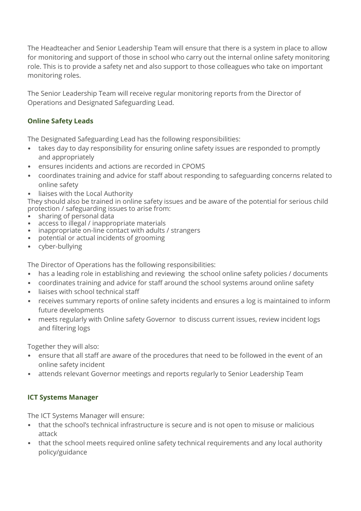The Headteacher and Senior Leadership Team will ensure that there is a system in place to allow for monitoring and support of those in school who carry out the internal online safety monitoring role. This is to provide a safety net and also support to those colleagues who take on important monitoring roles.

The Senior Leadership Team will receive regular monitoring reports from the Director of Operations and Designated Safeguarding Lead.

#### **Online Safety Leads**

The Designated Safeguarding Lead has the following responsibilities:

- takes day to day responsibility for ensuring online safety issues are responded to promptly and appropriately
- ensures incidents and actions are recorded in CPOMS
- coordinates training and advice for staff about responding to safeguarding concerns related to online safety
- liaises with the Local Authority

They should also be trained in online safety issues and be aware of the potential for serious child protection / safeguarding issues to arise from:

- sharing of personal data
- access to illegal / inappropriate materials
- inappropriate on-line contact with adults / strangers
- potential or actual incidents of grooming
- cyber-bullying

The Director of Operations has the following responsibilities:

- has a leading role in establishing and reviewing the school online safety policies / documents
- coordinates training and advice for staff around the school systems around online safety
- liaises with school technical staff
- receives summary reports of online safety incidents and ensures a log is maintained to inform future developments
- meets regularly with Online safety Governor to discuss current issues, review incident logs and filtering logs

Together they will also:

- ensure that all staff are aware of the procedures that need to be followed in the event of an online safety incident
- attends relevant Governor meetings and reports regularly to Senior Leadership Team

#### **ICT Systems Manager**

The ICT Systems Manager will ensure:

- that the school's technical infrastructure is secure and is not open to misuse or malicious attack
- that the school meets required online safety technical requirements and any local authority policy/guidance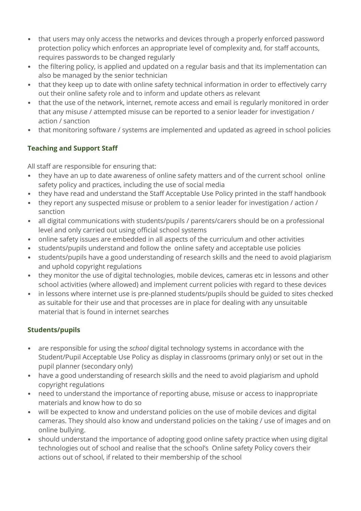- that users may only access the networks and devices through a properly enforced password protection policy which enforces an appropriate level of complexity and, for staff accounts, requires passwords to be changed regularly
- the filtering policy, is applied and updated on a regular basis and that its implementation can also be managed by the senior technician
- that they keep up to date with online safety technical information in order to effectively carry out their online safety role and to inform and update others as relevant
- that the use of the network, internet, remote access and email is regularly monitored in order that any misuse / attempted misuse can be reported to a senior leader for investigation / action / sanction
- that monitoring software / systems are implemented and updated as agreed in school policies

#### **Teaching and Support Staff**

All staff are responsible for ensuring that:

- they have an up to date awareness of online safety matters and of the current school online safety policy and practices, including the use of social media
- they have read and understand the Staff Acceptable Use Policy printed in the staff handbook
- they report any suspected misuse or problem to a senior leader for investigation / action / sanction
- all digital communications with students/pupils / parents/carers should be on a professional level and only carried out using official school systems
- online safety issues are embedded in all aspects of the curriculum and other activities
- students/pupils understand and follow the online safety and acceptable use policies
- students/pupils have a good understanding of research skills and the need to avoid plagiarism and uphold copyright regulations
- they monitor the use of digital technologies, mobile devices, cameras etc in lessons and other school activities (where allowed) and implement current policies with regard to these devices
- in lessons where internet use is pre-planned students/pupils should be guided to sites checked as suitable for their use and that processes are in place for dealing with any unsuitable material that is found in internet searches

#### **Students/pupils**

- are responsible for using the *school* digital technology systems in accordance with the Student/Pupil Acceptable Use Policy as display in classrooms (primary only) or set out in the pupil planner (secondary only)
- have a good understanding of research skills and the need to avoid plagiarism and uphold copyright regulations
- need to understand the importance of reporting abuse, misuse or access to inappropriate materials and know how to do so
- will be expected to know and understand policies on the use of mobile devices and digital cameras. They should also know and understand policies on the taking / use of images and on online bullying.
- should understand the importance of adopting good online safety practice when using digital technologies out of school and realise that the school's Online safety Policy covers their actions out of school, if related to their membership of the school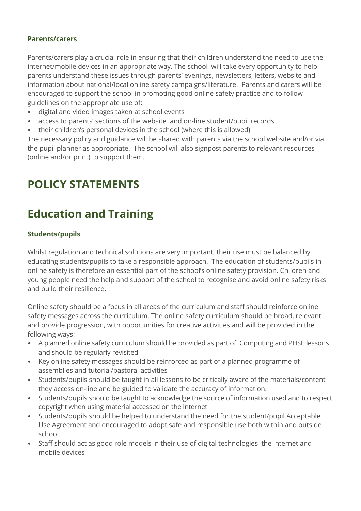#### **Parents/carers**

Parents/carers play a crucial role in ensuring that their children understand the need to use the internet/mobile devices in an appropriate way. The school will take every opportunity to help parents understand these issues through parents' evenings, newsletters, letters, website and information about national/local online safety campaigns/literature. Parents and carers will be encouraged to support the school in promoting good online safety practice and to follow guidelines on the appropriate use of:

- digital and video images taken at school events
- access to parents' sections of the website and on-line student/pupil records
- their children's personal devices in the school (where this is allowed)

The necessary policy and guidance will be shared with parents via the school website and/or via the pupil planner as appropriate. The school will also signpost parents to relevant resources (online and/or print) to support them.

## **POLICY STATEMENTS**

# **Education and Training**

#### **Students/pupils**

Whilst regulation and technical solutions are very important, their use must be balanced by educating students/pupils to take a responsible approach. The education of students/pupils in online safety is therefore an essential part of the school's online safety provision. Children and young people need the help and support of the school to recognise and avoid online safety risks and build their resilience.

Online safety should be a focus in all areas of the curriculum and staff should reinforce online safety messages across the curriculum. The online safety curriculum should be broad, relevant and provide progression, with opportunities for creative activities and will be provided in the following ways:

- A planned online safety curriculum should be provided as part of Computing and PHSE lessons and should be regularly revisited
- Key online safety messages should be reinforced as part of a planned programme of assemblies and tutorial/pastoral activities
- Students/pupils should be taught in all lessons to be critically aware of the materials/content they access on-line and be guided to validate the accuracy of information.
- Students/pupils should be taught to acknowledge the source of information used and to respect copyright when using material accessed on the internet
- Students/pupils should be helped to understand the need for the student/pupil Acceptable Use Agreement and encouraged to adopt safe and responsible use both within and outside school
- Staff should act as good role models in their use of digital technologies the internet and mobile devices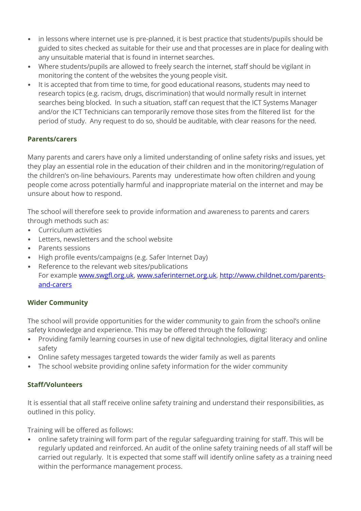- in lessons where internet use is pre-planned, it is best practice that students/pupils should be guided to sites checked as suitable for their use and that processes are in place for dealing with any unsuitable material that is found in internet searches.
- Where students/pupils are allowed to freely search the internet, staff should be vigilant in monitoring the content of the websites the young people visit.
- It is accepted that from time to time, for good educational reasons, students may need to research topics (e.g. racism, drugs, discrimination) that would normally result in internet searches being blocked. In such a situation, staff can request that the ICT Systems Manager and/or the ICT Technicians can temporarily remove those sites from the filtered list for the period of study. Any request to do so, should be auditable, with clear reasons for the need.

#### **Parents/carers**

Many parents and carers have only a limited understanding of online safety risks and issues, yet they play an essential role in the education of their children and in the monitoring/regulation of the children's on-line behaviours. Parents may underestimate how often children and young people come across potentially harmful and inappropriate material on the internet and may be unsure about how to respond.

The school will therefore seek to provide information and awareness to parents and carers through methods such as:

- Curriculum activities
- Letters, newsletters and the school website
- Parents sessions
- High profile events/campaigns (e.g. Safer Internet Day)
- Reference to the relevant web sites/publications For example [www.swgfl.org.uk,](http://www.swgfl.org.uk/) [www.saferinternet.org.uk,](http://www.saferinternet.org.uk/) [http://www.childnet.com/parents](http://www.childnet.com/parents-and-carers)[and-carers](http://www.childnet.com/parents-and-carers)

#### **Wider Community**

The school will provide opportunities for the wider community to gain from the school's online safety knowledge and experience. This may be offered through the following:

- Providing family learning courses in use of new digital technologies, digital literacy and online safety
- Online safety messages targeted towards the wider family as well as parents
- The school website providing online safety information for the wider community

#### **Staff/Volunteers**

It is essential that all staff receive online safety training and understand their responsibilities, as outlined in this policy.

Training will be offered as follows:

• online safety training will form part of the regular safeguarding training for staff. This will be regularly updated and reinforced. An audit of the online safety training needs of all staff will be carried out regularly. It is expected that some staff will identify online safety as a training need within the performance management process.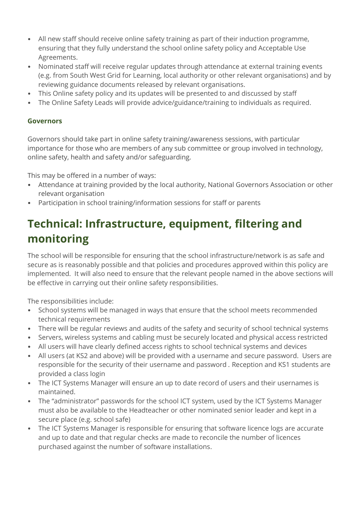- All new staff should receive online safety training as part of their induction programme, ensuring that they fully understand the school online safety policy and Acceptable Use Agreements.
- Nominated staff will receive regular updates through attendance at external training events (e.g. from South West Grid for Learning, local authority or other relevant organisations) and by reviewing guidance documents released by relevant organisations.
- This Online safety policy and its updates will be presented to and discussed by staff
- The Online Safety Leads will provide advice/guidance/training to individuals as required.

#### **Governors**

Governors should take part in online safety training/awareness sessions, with particular importance for those who are members of any sub committee or group involved in technology, online safety, health and safety and/or safeguarding.

This may be offered in a number of ways:

- Attendance at training provided by the local authority, National Governors Association or other relevant organisation
- Participation in school training/information sessions for staff or parents

# **Technical: Infrastructure, equipment, filtering and monitoring**

The school will be responsible for ensuring that the school infrastructure/network is as safe and secure as is reasonably possible and that policies and procedures approved within this policy are implemented. It will also need to ensure that the relevant people named in the above sections will be effective in carrying out their online safety responsibilities.

The responsibilities include:

- School systems will be managed in ways that ensure that the school meets recommended technical requirements
- There will be regular reviews and audits of the safety and security of school technical systems
- Servers, wireless systems and cabling must be securely located and physical access restricted
- All users will have clearly defined access rights to school technical systems and devices
- All users (at KS2 and above) will be provided with a username and secure password. Users are responsible for the security of their username and password *.* Reception and KS1 students are provided a class login
- The ICT Systems Manager will ensure an up to date record of users and their usernames is maintained.
- The "administrator" passwords for the school ICT system, used by the ICT Systems Manager must also be available to the Headteacher or other nominated senior leader and kept in a secure place (e.g. school safe)
- The ICT Systems Manager is responsible for ensuring that software licence logs are accurate and up to date and that regular checks are made to reconcile the number of licences purchased against the number of software installations.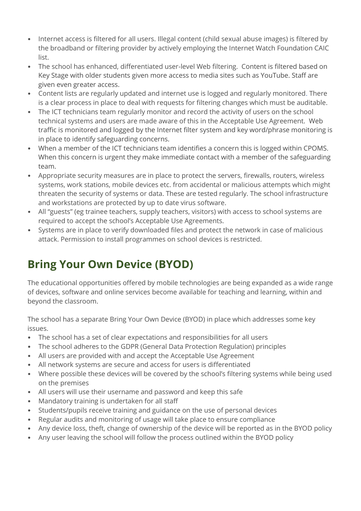- Internet access is filtered for all users. Illegal content (child sexual abuse images) is filtered by the broadband or filtering provider by actively employing the Internet Watch Foundation CAIC list.
- The school has enhanced, differentiated user-level Web filtering. Content is filtered based on Key Stage with older students given more access to media sites such as YouTube. Staff are given even greater access.
- Content lists are regularly updated and internet use is logged and regularly monitored. There is a clear process in place to deal with requests for filtering changes which must be auditable.
- The ICT technicians team regularly monitor and record the activity of users on the school technical systems and users are made aware of this in the Acceptable Use Agreement. Web traffic is monitored and logged by the Internet filter system and key word/phrase monitoring is in place to identify safeguarding concerns.
- When a member of the ICT technicians team identifies a concern this is logged within CPOMS. When this concern is urgent they make immediate contact with a member of the safeguarding team.
- Appropriate security measures are in place to protect the servers, firewalls, routers, wireless systems, work stations, mobile devices etc. from accidental or malicious attempts which might threaten the security of systems or data. These are tested regularly. The school infrastructure and workstations are protected by up to date virus software.
- All "guests" (eg trainee teachers, supply teachers, visitors) with access to school systems are required to accept the school's Acceptable Use Agreements.
- Systems are in place to verify downloaded files and protect the network in case of malicious attack. Permission to install programmes on school devices is restricted.

# **Bring Your Own Device (BYOD)**

The educational opportunities offered by mobile technologies are being expanded as a wide range of devices, software and online services become available for teaching and learning, within and beyond the classroom.

The school has a separate Bring Your Own Device (BYOD) in place which addresses some key issues.

- The school has a set of clear expectations and responsibilities for all users
- The school adheres to the GDPR (General Data Protection Regulation) principles
- All users are provided with and accept the Acceptable Use Agreement
- All network systems are secure and access for users is differentiated
- Where possible these devices will be covered by the school's filtering systems while being used on the premises
- All users will use their username and password and keep this safe
- Mandatory training is undertaken for all staff
- Students/pupils receive training and guidance on the use of personal devices
- Regular audits and monitoring of usage will take place to ensure compliance
- Any device loss, theft, change of ownership of the device will be reported as in the BYOD policy
- Any user leaving the school will follow the process outlined within the BYOD policy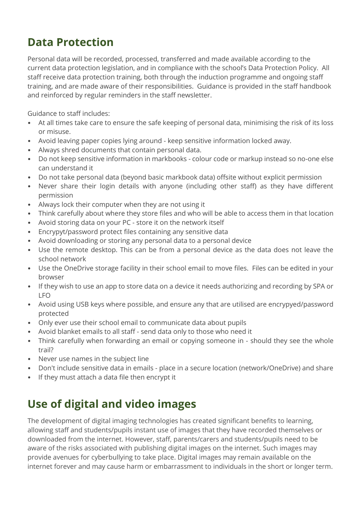### **Data Protection**

Personal data will be recorded, processed, transferred and made available according to the current data protection legislation, and in compliance with the school's Data Protection Policy. All staff receive data protection training, both through the induction programme and ongoing staff training, and are made aware of their responsibilities. Guidance is provided in the staff handbook and reinforced by regular reminders in the staff newsletter.

Guidance to staff includes:

- At all times take care to ensure the safe keeping of personal data, minimising the risk of its loss or misuse.
- Avoid leaving paper copies lying around keep sensitive information locked away.
- Always shred documents that contain personal data.
- Do not keep sensitive information in markbooks colour code or markup instead so no-one else can understand it
- Do not take personal data (beyond basic markbook data) offsite without explicit permission
- Never share their login details with anyone (including other staff) as they have different permission
- Always lock their computer when they are not using it
- Think carefully about where they store files and who will be able to access them in that location
- Avoid storing data on your PC store it on the network itself
- Encrypyt/password protect files containing any sensitive data
- Avoid downloading or storing any personal data to a personal device
- Use the remote desktop. This can be from a personal device as the data does not leave the school network
- Use the OneDrive storage facility in their school email to move files. Files can be edited in your browser
- If they wish to use an app to store data on a device it needs authorizing and recording by SPA or LFO
- Avoid using USB keys where possible, and ensure any that are utilised are encrypyed/password protected
- Only ever use their school email to communicate data about pupils
- Avoid blanket emails to all staff send data only to those who need it
- Think carefully when forwarding an email or copying someone in should they see the whole trail?
- Never use names in the subject line
- Don't include sensitive data in emails place in a secure location (network/OneDrive) and share
- If they must attach a data file then encrypt it

## **Use of digital and video images**

The development of digital imaging technologies has created significant benefits to learning, allowing staff and students/pupils instant use of images that they have recorded themselves or downloaded from the internet. However, staff, parents/carers and students/pupils need to be aware of the risks associated with publishing digital images on the internet. Such images may provide avenues for cyberbullying to take place. Digital images may remain available on the internet forever and may cause harm or embarrassment to individuals in the short or longer term.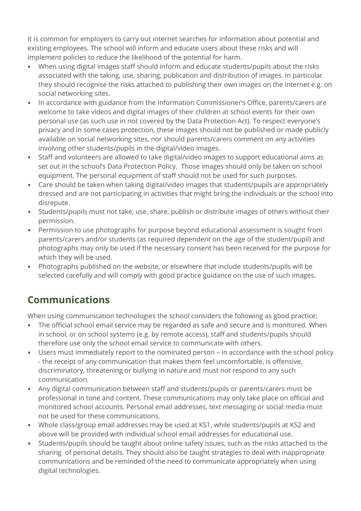It is common for employers to carry out internet searches for information about potential and existing employees. The school will inform and educate users about these risks and will implement policies to reduce the likelihood of the potential for harm.

- When using digital images staff should inform and educate students/pupils about the risks associated with the taking, use, sharing, publication and distribution of images. In particular they should recognise the risks attached to publishing their own images on the internet e.g. on social networking sites.
- In accordance with guidance from the Information Commissioner's Office, parents/carers are welcome to take videos and digital images of their children at school events for their own personal use (as such use in not covered by the Data Protection Act). To respect everyone's privacy and in some cases protection, these images should not be published or made publicly available on social networking sites, nor should parents/carers comment on any activities involving other students/pupils in the digital/video images.
- Staff and volunteers are allowed to take digital/video images to support educational aims as set out in the school's Data Protection Policy. Those images should only be taken on school equipment. The personal equipment of staff should not be used for such purposes.
- Care should be taken when taking digital/video images that students/pupils are appropriately dressed and are not participating in activities that might bring the individuals or the school into disrepute.
- Students/pupils must not take, use, share, publish or distribute images of others without their permission.
- Permission to use photographs for purpose beyond educational assessment is sought from parents/carers and/or students (as required dependent on the age of the student/pupil) and photographs may only be used if the necessary consent has been received for the purpose for which they will be used.
- Photographs published on the website, or elsewhere that include students/pupils will be selected carefully and will comply with good practice guidance on the use of such images.

### **Communications**

When using communication technologies the school considers the following as good practice:

- The official school email service may be regarded as safe and secure and is monitored. When in school, or on school systems (e.g. by remote access), staff and students/pupils should therefore use only the school email service to communicate with others.
- Users must immediately report to the nominated person in accordance with the school policy - the receipt of any communication that makes them feel uncomfortable, is offensive, discriminatory, threatening or bullying in nature and must not respond to any such communication.
- Any digital communication between staff and students/pupils or parents/carers must be professional in tone and content. These communications may only take place on official and monitored school accounts. Personal email addresses, text messaging or social media must not be used for these communications.
- Whole class/group email addresses may be used at KS1, while students/pupils at KS2 and above will be provided with individual school email addresses for educational use.
- Students/pupils should be taught about online safety issues, such as the risks attached to the sharing of personal details. They should also be taught strategies to deal with inappropriate communications and be reminded of the need to communicate appropriately when using digital technologies.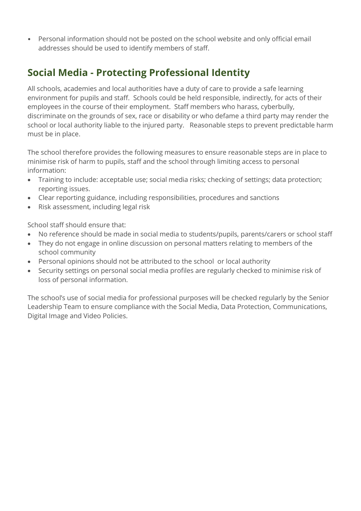• Personal information should not be posted on the school website and only official email addresses should be used to identify members of staff.

### **Social Media - Protecting Professional Identity**

All schools, academies and local authorities have a duty of care to provide a safe learning environment for pupils and staff. Schools could be held responsible, indirectly, for acts of their employees in the course of their employment. Staff members who harass, cyberbully, discriminate on the grounds of sex, race or disability or who defame a third party may render the school or local authority liable to the injured party. Reasonable steps to prevent predictable harm must be in place.

The school therefore provides the following measures to ensure reasonable steps are in place to minimise risk of harm to pupils, staff and the school through limiting access to personal information:

- Training to include: acceptable use; social media risks; checking of settings; data protection; reporting issues.
- Clear reporting guidance, including responsibilities, procedures and sanctions
- Risk assessment, including legal risk

School staff should ensure that:

- No reference should be made in social media to students/pupils, parents/carers or school staff
- They do not engage in online discussion on personal matters relating to members of the school community
- Personal opinions should not be attributed to the school or local authority
- Security settings on personal social media profiles are regularly checked to minimise risk of loss of personal information.

The school's use of social media for professional purposes will be checked regularly by the Senior Leadership Team to ensure compliance with the Social Media, Data Protection, Communications, Digital Image and Video Policies.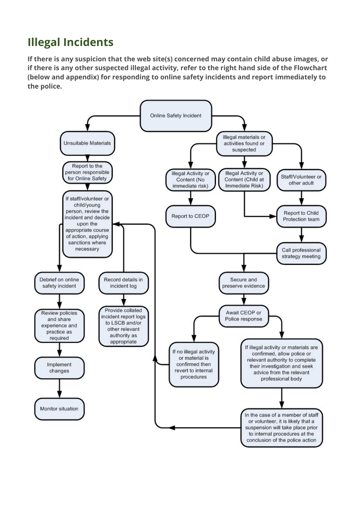## **Illegal Incidents**

**If there is any suspicion that the web site(s) concerned may contain child abuse images, or if there is any other suspected illegal activity, refer to the right hand side of the Flowchart (below and appendix) for responding to online safety incidents and report immediately to the police.** 

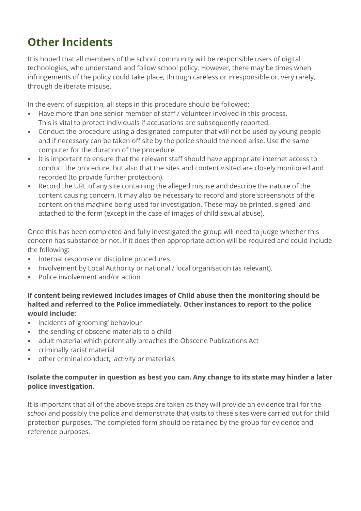# **Other Incidents**

It is hoped that all members of the school community will be responsible users of digital technologies, who understand and follow school policy. However, there may be times when infringements of the policy could take place, through careless or irresponsible or, very rarely, through deliberate misuse.

In the event of suspicion, all steps in this procedure should be followed:

- Have more than one senior member of staff / volunteer involved in this process. This is vital to protect individuals if accusations are subsequently reported.
- Conduct the procedure using a designated computer that will not be used by young people and if necessary can be taken off site by the police should the need arise. Use the same computer for the duration of the procedure.
- It is important to ensure that the relevant staff should have appropriate internet access to conduct the procedure, but also that the sites and content visited are closely monitored and recorded (to provide further protection).
- Record the URL of any site containing the alleged misuse and describe the nature of the content causing concern. It may also be necessary to record and store screenshots of the content on the machine being used for investigation. These may be printed, signed and attached to the form (except in the case of images of child sexual abuse).

Once this has been completed and fully investigated the group will need to judge whether this concern has substance or not. If it does then appropriate action will be required and could include the following:

- Internal response or discipline procedures
- Involvement by Local Authority or national / local organisation (as relevant).
- Police involvement and/or action

**If content being reviewed includes images of Child abuse then the monitoring should be halted and referred to the Police immediately. Other instances to report to the police would include:**

- incidents of 'grooming' behaviour
- the sending of obscene materials to a child
- adult material which potentially breaches the Obscene Publications Act
- criminally racist material
- other criminal conduct, activity or materials

#### **Isolate the computer in question as best you can. Any change to its state may hinder a later police investigation.**

It is important that all of the above steps are taken as they will provide an evidence trail for the *school* and possibly the police and demonstrate that visits to these sites were carried out for child protection purposes. The completed form should be retained by the group for evidence and reference purposes.